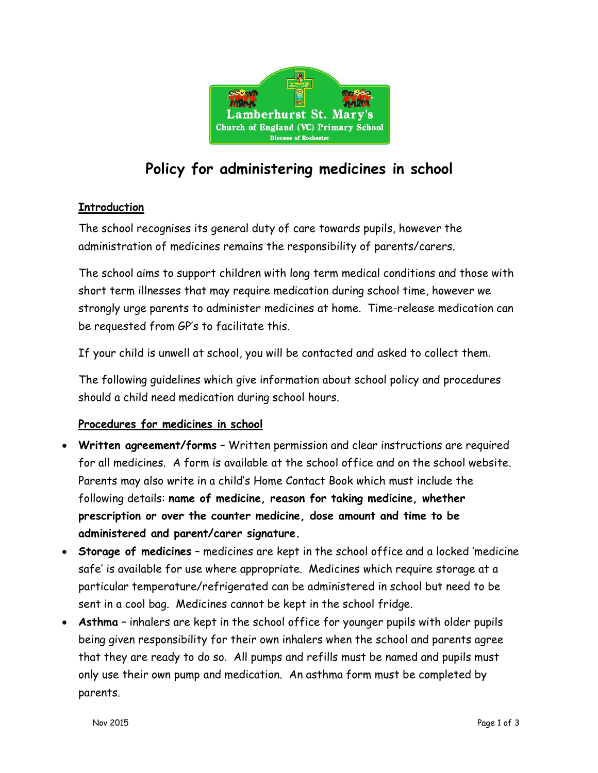

# Policy for administering medicines in school

### **Introduction**

The school recognises its general duty of care towards pupils, however the administration of medicines remains the responsibility of parents/carers.

The school aims to support children with long term medical conditions and those with short term illnesses that may require medication during school time, however we strongly urge parents to administer medicines at home. Time-release medication can be requested from GP's to facilitate this.

If your child is unwell at school, you will be contacted and asked to collect them.

The following guidelines which give information about school policy and procedures should a child need medication during school hours.

#### Procedures for medicines in school

- Written agreement/forms Written permission and clear instructions are required for all medicines. A form is available at the school office and on the school website. Parents may also write in a child's Home Contact Book which must include the following details: name of medicine, reason for taking medicine, whether prescription or over the counter medicine, dose amount and time to be administered and parent/carer signature.
- Storage of medicines medicines are kept in the school office and a locked 'medicine safe' is available for use where appropriate. Medicines which require storage at a particular temperature/refrigerated can be administered in school but need to be sent in a cool bag. Medicines cannot be kept in the school fridge.
- Asthma inhalers are kept in the school office for younger pupils with older pupils being given responsibility for their own inhalers when the school and parents agree that they are ready to do so. All pumps and refills must be named and pupils must only use their own pump and medication. An asthma form must be completed by parents.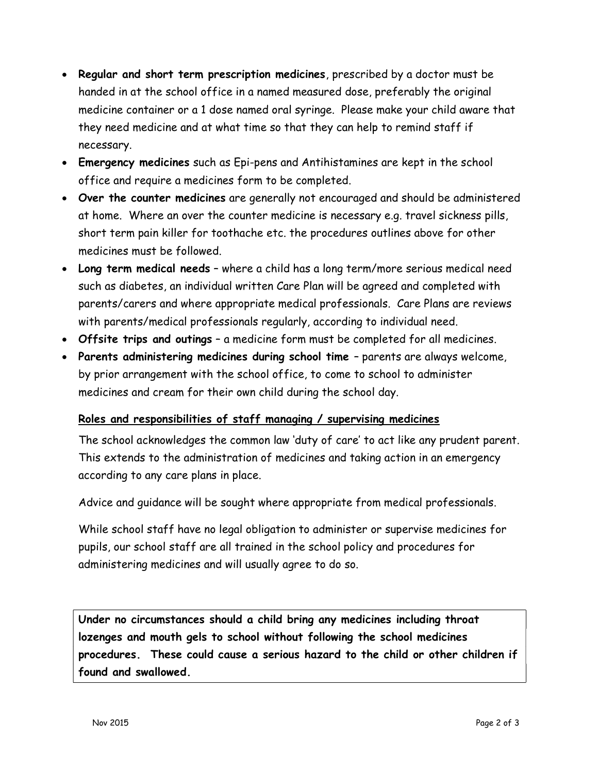- Regular and short term prescription medicines, prescribed by a doctor must be handed in at the school office in a named measured dose, preferably the original medicine container or a 1 dose named oral syringe. Please make your child aware that they need medicine and at what time so that they can help to remind staff if necessary.
- Emergency medicines such as Epi-pens and Antihistamines are kept in the school office and require a medicines form to be completed.
- Over the counter medicines are generally not encouraged and should be administered at home. Where an over the counter medicine is necessary e.g. travel sickness pills, short term pain killer for toothache etc. the procedures outlines above for other medicines must be followed.
- Long term medical needs where a child has a long term/more serious medical need such as diabetes, an individual written Care Plan will be agreed and completed with parents/carers and where appropriate medical professionals. Care Plans are reviews with parents/medical professionals regularly, according to individual need.
- Offsite trips and outings a medicine form must be completed for all medicines.
- Parents administering medicines during school time parents are always welcome, by prior arrangement with the school office, to come to school to administer medicines and cream for their own child during the school day.

#### Roles and responsibilities of staff managing / supervising medicines

The school acknowledges the common law 'duty of care' to act like any prudent parent. This extends to the administration of medicines and taking action in an emergency according to any care plans in place.

Advice and guidance will be sought where appropriate from medical professionals.

While school staff have no legal obligation to administer or supervise medicines for pupils, our school staff are all trained in the school policy and procedures for administering medicines and will usually agree to do so.

Under no circumstances should a child bring any medicines including throat lozenges and mouth gels to school without following the school medicines procedures. These could cause a serious hazard to the child or other children if found and swallowed.